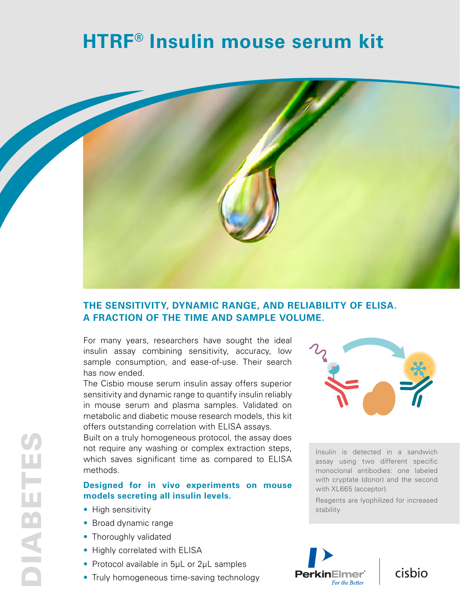# **HTRF® Insulin mouse serum kit**



## **THE SENSITIVITY, DYNAMIC RANGE, AND RELIABILITY OF ELISA. A FRACTION OF THE TIME AND SAMPLE VOLUME.**

For many years, researchers have sought the ideal insulin assay combining sensitivity, accuracy, low sample consumption, and ease-of-use. Their search has now ended.

The Cisbio mouse serum insulin assay offers superior sensitivity and dynamic range to quantify insulin reliably in mouse serum and plasma samples. Validated on metabolic and diabetic mouse research models, this kit offers outstanding correlation with ELISA assays.

Built on a truly homogeneous protocol, the assay does not require any washing or complex extraction steps, which saves significant time as compared to ELISA methods.

#### **Designed for in vivo experiments on mouse models secreting all insulin levels.**

- High sensitivity
- Broad dynamic range
- Thoroughly validated
- Highly correlated with ELISA
- Protocol available in 5µL or 2µL samples
- Truly homogeneous time-saving technology



Insulin is detected in a sandwich assay using two different specific monoclonal antibodies: one labeled with cryptate (donor) and the second with XL665 (acceptor).

Reagents are lyophilized for increased stability